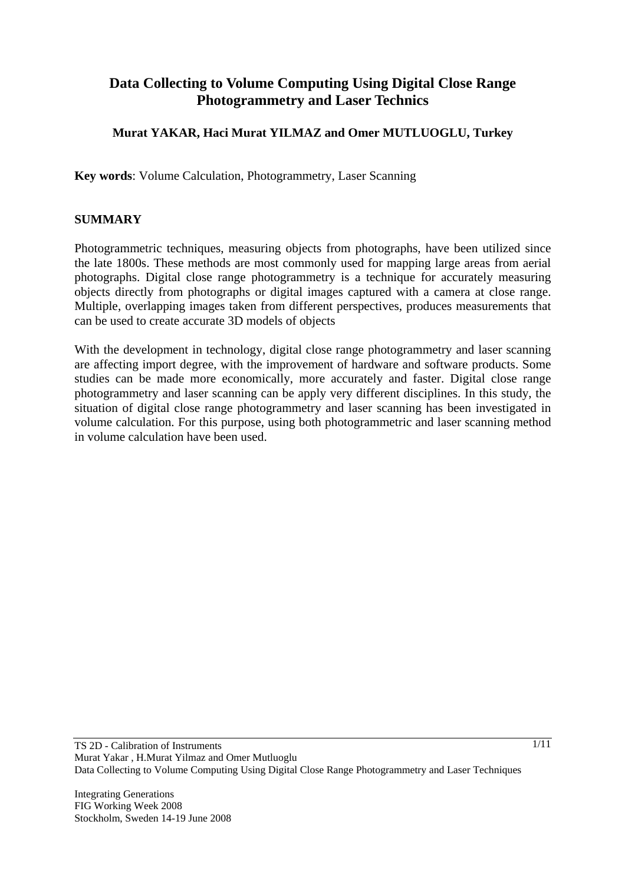# **Data Collecting to Volume Computing Using Digital Close Range Photogrammetry and Laser Technics**

### **Murat YAKAR, Haci Murat YILMAZ and Omer MUTLUOGLU, Turkey**

**Key words**: Volume Calculation, Photogrammetry, Laser Scanning

#### **SUMMARY**

Photogrammetric techniques, measuring objects from photographs, have been utilized since the late 1800s. These methods are most commonly used for mapping large areas from aerial photographs. Digital close range photogrammetry is a technique for accurately measuring objects directly from photographs or digital images captured with a camera at close range. Multiple, overlapping images taken from different perspectives, produces measurements that can be used to create accurate 3D models of objects

With the development in technology, digital close range photogrammetry and laser scanning are affecting import degree, with the improvement of hardware and software products. Some studies can be made more economically, more accurately and faster. Digital close range photogrammetry and laser scanning can be apply very different disciplines. In this study, the situation of digital close range photogrammetry and laser scanning has been investigated in volume calculation. For this purpose, using both photogrammetric and laser scanning method in volume calculation have been used.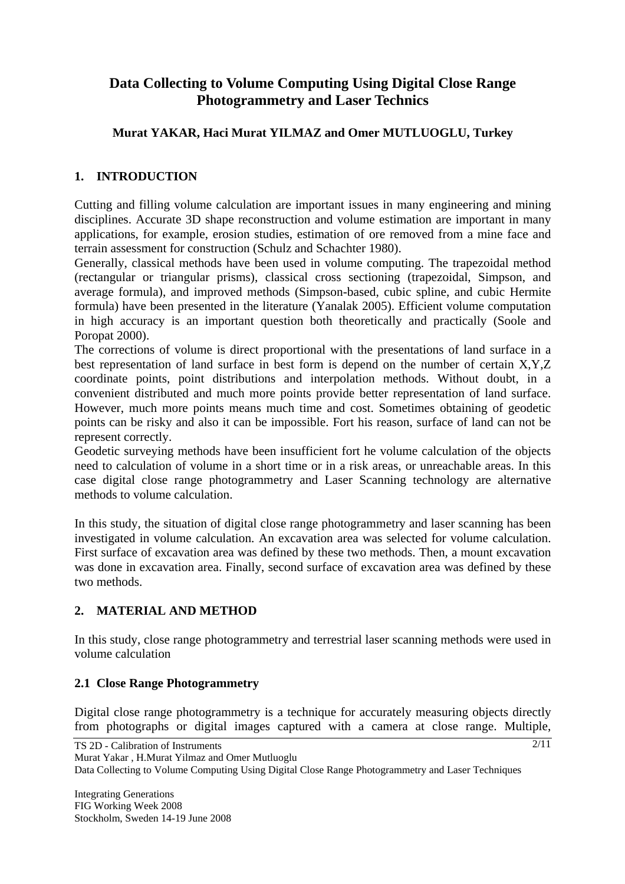# **Data Collecting to Volume Computing Using Digital Close Range Photogrammetry and Laser Technics**

## **Murat YAKAR, Haci Murat YILMAZ and Omer MUTLUOGLU, Turkey**

### **1. INTRODUCTION**

Cutting and filling volume calculation are important issues in many engineering and mining disciplines. Accurate 3D shape reconstruction and volume estimation are important in many applications, for example, erosion studies, estimation of ore removed from a mine face and terrain assessment for construction (Schulz and Schachter 1980).

Generally, classical methods have been used in volume computing. The trapezoidal method (rectangular or triangular prisms), classical cross sectioning (trapezoidal, Simpson, and average formula), and improved methods (Simpson-based, cubic spline, and cubic Hermite formula) have been presented in the literature (Yanalak 2005). Efficient volume computation in high accuracy is an important question both theoretically and practically (Soole and Poropat 2000).

The corrections of volume is direct proportional with the presentations of land surface in a best representation of land surface in best form is depend on the number of certain X,Y,Z coordinate points, point distributions and interpolation methods. Without doubt, in a convenient distributed and much more points provide better representation of land surface. However, much more points means much time and cost. Sometimes obtaining of geodetic points can be risky and also it can be impossible. Fort his reason, surface of land can not be represent correctly.

Geodetic surveying methods have been insufficient fort he volume calculation of the objects need to calculation of volume in a short time or in a risk areas, or unreachable areas. In this case digital close range photogrammetry and Laser Scanning technology are alternative methods to volume calculation.

In this study, the situation of digital close range photogrammetry and laser scanning has been investigated in volume calculation. An excavation area was selected for volume calculation. First surface of excavation area was defined by these two methods. Then, a mount excavation was done in excavation area. Finally, second surface of excavation area was defined by these two methods.

### **2. MATERIAL AND METHOD**

In this study, close range photogrammetry and terrestrial laser scanning methods were used in volume calculation

### **2.1 Close Range Photogrammetry**

Digital close range photogrammetry is a technique for accurately measuring objects directly from photographs or digital images captured with a camera at close range. Multiple,

 $2/11$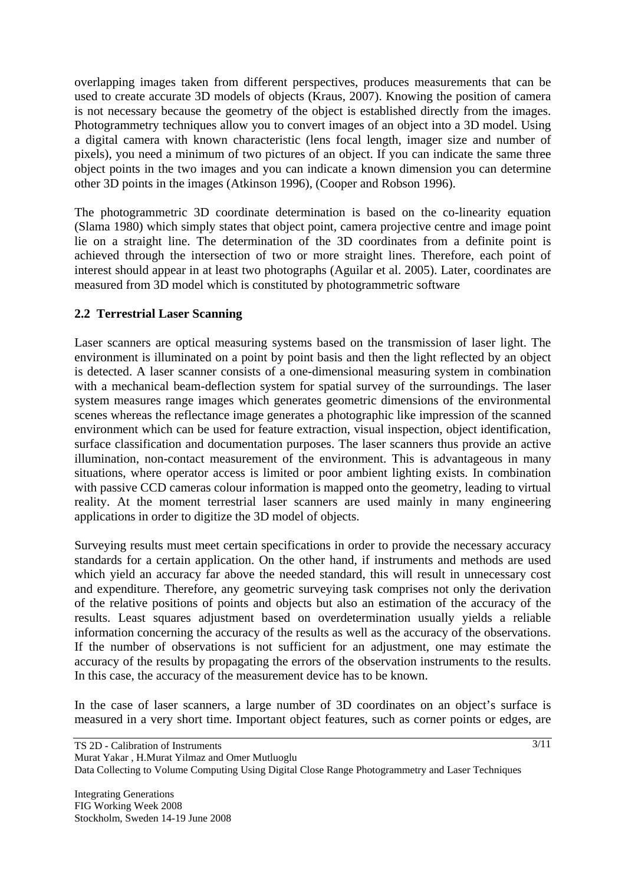overlapping images taken from different perspectives, produces measurements that can be used to create accurate 3D models of objects (Kraus, 2007). Knowing the position of camera is not necessary because the geometry of the object is established directly from the images. Photogrammetry techniques allow you to convert images of an object into a 3D model. Using a digital camera with known characteristic (lens focal length, imager size and number of pixels), you need a minimum of two pictures of an object. If you can indicate the same three object points in the two images and you can indicate a known dimension you can determine other 3D points in the images (Atkinson 1996), (Cooper and Robson 1996).

The photogrammetric 3D coordinate determination is based on the co-linearity equation (Slama 1980) which simply states that object point, camera projective centre and image point lie on a straight line. The determination of the 3D coordinates from a definite point is achieved through the intersection of two or more straight lines. Therefore, each point of interest should appear in at least two photographs (Aguilar et al. 2005). Later, coordinates are measured from 3D model which is constituted by photogrammetric software

#### **2.2 Terrestrial Laser Scanning**

Laser scanners are optical measuring systems based on the transmission of laser light. The environment is illuminated on a point by point basis and then the light reflected by an object is detected. A laser scanner consists of a one-dimensional measuring system in combination with a mechanical beam-deflection system for spatial survey of the surroundings. The laser system measures range images which generates geometric dimensions of the environmental scenes whereas the reflectance image generates a photographic like impression of the scanned environment which can be used for feature extraction, visual inspection, object identification, surface classification and documentation purposes. The laser scanners thus provide an active illumination, non-contact measurement of the environment. This is advantageous in many situations, where operator access is limited or poor ambient lighting exists. In combination with passive CCD cameras colour information is mapped onto the geometry, leading to virtual reality. At the moment terrestrial laser scanners are used mainly in many engineering applications in order to digitize the 3D model of objects.

Surveying results must meet certain specifications in order to provide the necessary accuracy standards for a certain application. On the other hand, if instruments and methods are used which yield an accuracy far above the needed standard, this will result in unnecessary cost and expenditure. Therefore, any geometric surveying task comprises not only the derivation of the relative positions of points and objects but also an estimation of the accuracy of the results. Least squares adjustment based on overdetermination usually yields a reliable information concerning the accuracy of the results as well as the accuracy of the observations. If the number of observations is not sufficient for an adjustment, one may estimate the accuracy of the results by propagating the errors of the observation instruments to the results. In this case, the accuracy of the measurement device has to be known.

In the case of laser scanners, a large number of 3D coordinates on an object's surface is measured in a very short time. Important object features, such as corner points or edges, are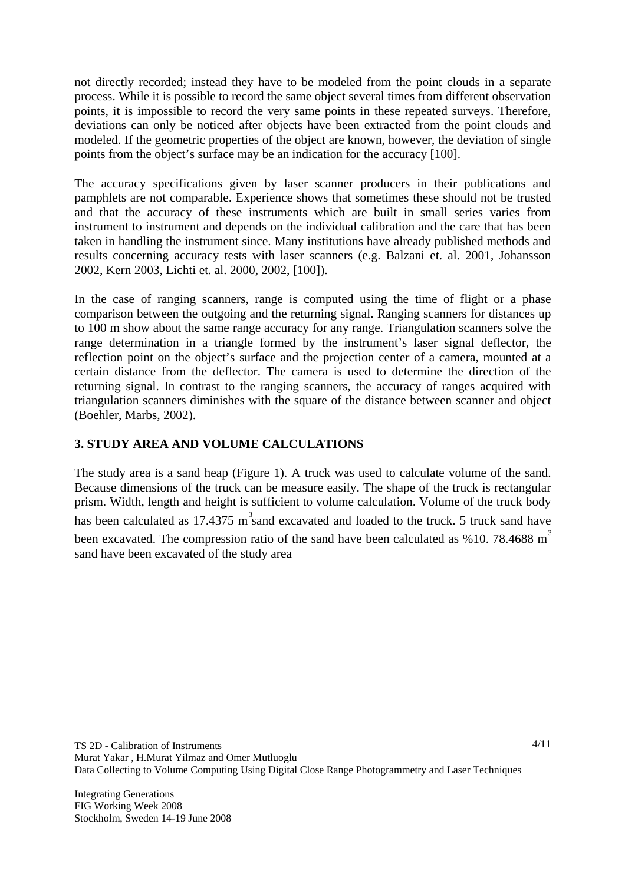not directly recorded; instead they have to be modeled from the point clouds in a separate process. While it is possible to record the same object several times from different observation points, it is impossible to record the very same points in these repeated surveys. Therefore, deviations can only be noticed after objects have been extracted from the point clouds and modeled. If the geometric properties of the object are known, however, the deviation of single points from the object's surface may be an indication for the accuracy [100].

The accuracy specifications given by laser scanner producers in their publications and pamphlets are not comparable. Experience shows that sometimes these should not be trusted and that the accuracy of these instruments which are built in small series varies from instrument to instrument and depends on the individual calibration and the care that has been taken in handling the instrument since. Many institutions have already published methods and results concerning accuracy tests with laser scanners (e.g. Balzani et. al. 2001, Johansson 2002, Kern 2003, Lichti et. al. 2000, 2002, [100]).

In the case of ranging scanners, range is computed using the time of flight or a phase comparison between the outgoing and the returning signal. Ranging scanners for distances up to 100 m show about the same range accuracy for any range. Triangulation scanners solve the range determination in a triangle formed by the instrument's laser signal deflector, the reflection point on the object's surface and the projection center of a camera, mounted at a certain distance from the deflector. The camera is used to determine the direction of the returning signal. In contrast to the ranging scanners, the accuracy of ranges acquired with triangulation scanners diminishes with the square of the distance between scanner and object (Boehler, Marbs, 2002).

## **3. STUDY AREA AND VOLUME CALCULATIONS**

The study area is a sand heap (Figure 1). A truck was used to calculate volume of the sand. Because dimensions of the truck can be measure easily. The shape of the truck is rectangular prism. Width, length and height is sufficient to volume calculation. Volume of the truck body has been calculated as 17.4375 m<sup>3</sup> sand excavated and loaded to the truck. 5 truck sand have been excavated. The compression ratio of the sand have been calculated as  $\%$  10. 78.4688 m<sup>3</sup> sand have been excavated of the study area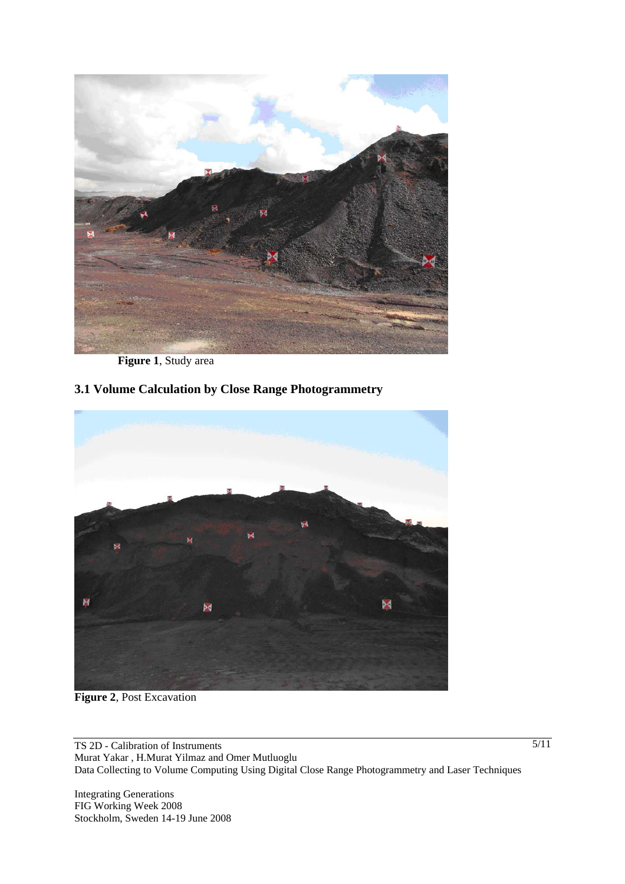

**Figure 1**, Study area

# **3.1 Volume Calculation by Close Range Photogrammetry**



**Figure 2**, Post Excavation

TS 2D - Calibration of Instruments Murat Yakar , H.Murat Yilmaz and Omer Mutluoglu Data Collecting to Volume Computing Using Digital Close Range Photogrammetry and Laser Techniques

Integrating Generations FIG Working Week 2008 Stockholm, Sweden 14-19 June 2008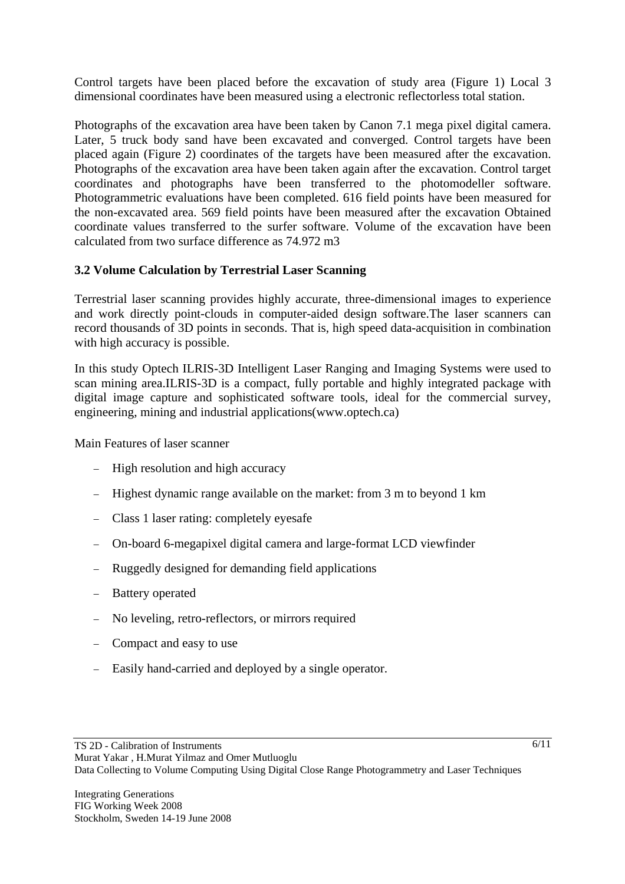Control targets have been placed before the excavation of study area (Figure 1) Local 3 dimensional coordinates have been measured using a electronic reflectorless total station.

Photographs of the excavation area have been taken by Canon 7.1 mega pixel digital camera. Later, 5 truck body sand have been excavated and converged. Control targets have been placed again (Figure 2) coordinates of the targets have been measured after the excavation. Photographs of the excavation area have been taken again after the excavation. Control target coordinates and photographs have been transferred to the photomodeller software. Photogrammetric evaluations have been completed. 616 field points have been measured for the non-excavated area. 569 field points have been measured after the excavation Obtained coordinate values transferred to the surfer software. Volume of the excavation have been calculated from two surface difference as 74.972 m3

### **3.2 Volume Calculation by Terrestrial Laser Scanning**

Terrestrial laser scanning provides highly accurate, three-dimensional images to experience and work directly point-clouds in computer-aided design software.The laser scanners can record thousands of 3D points in seconds. That is, high speed data-acquisition in combination with high accuracy is possible.

In this study Optech ILRIS-3D Intelligent Laser Ranging and Imaging Systems were used to scan mining area.ILRIS-3D is a compact, fully portable and highly integrated package with digital image capture and sophisticated software tools, ideal for the commercial survey, engineering, mining and industrial applications(www.optech.ca)

Main Features of laser scanner

- − High resolution and high accuracy
- − Highest dynamic range available on the market: from 3 m to beyond 1 km
- − Class 1 laser rating: completely eyesafe
- − On-board 6-megapixel digital camera and large-format LCD viewfinder
- − Ruggedly designed for demanding field applications
- − Battery operated
- − No leveling, retro-reflectors, or mirrors required
- − Compact and easy to use
- − Easily hand-carried and deployed by a single operator.

 $6/11$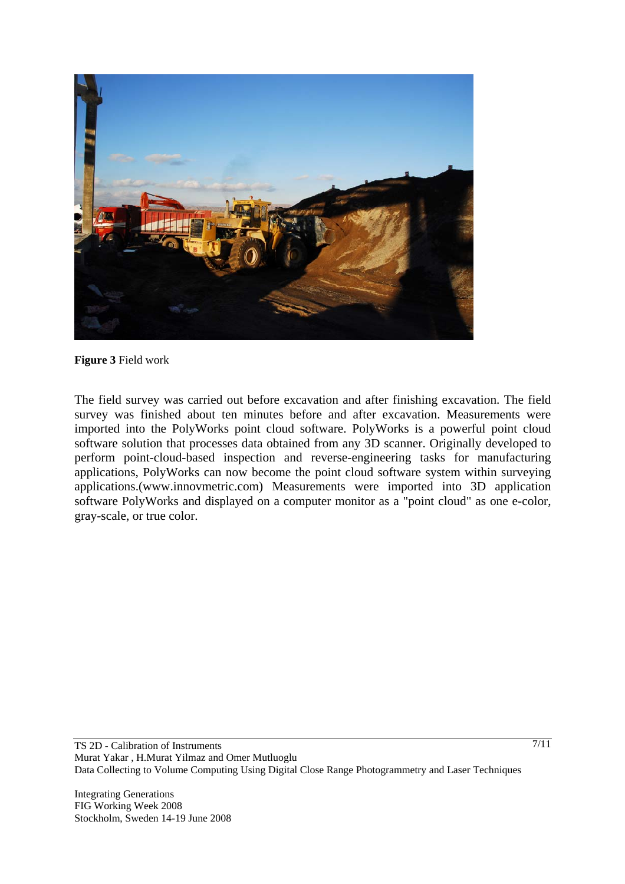

#### **Figure 3** Field work

The field survey was carried out before excavation and after finishing excavation. The field survey was finished about ten minutes before and after excavation. Measurements were imported into the PolyWorks point cloud software. PolyWorks is a powerful point cloud software solution that processes data obtained from any 3D scanner. Originally developed to perform point-cloud-based inspection and reverse-engineering tasks for manufacturing applications, PolyWorks can now become the point cloud software system within surveying applications.(www.innovmetric.com) Measurements were imported into 3D application software PolyWorks and displayed on a computer monitor as a "point cloud" as one e-color, gray-scale, or true color.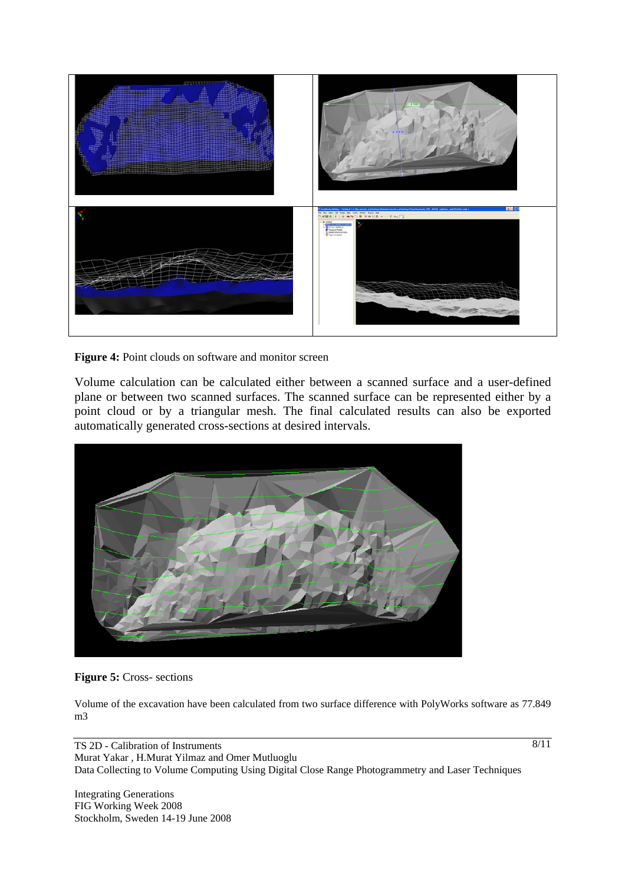

Figure 4: Point clouds on software and monitor screen

Volume calculation can be calculated either between a scanned surface and a user-defined plane or between two scanned surfaces. The scanned surface can be represented either by a point cloud or by a triangular mesh. The final calculated results can also be exported automatically generated cross-sections at desired intervals.



**Figure 5:** Cross- sections

Volume of the excavation have been calculated from two surface difference with PolyWorks software as 77.849 m3

TS 2D - Calibration of Instruments Murat Yakar , H.Murat Yilmaz and Omer Mutluoglu Data Collecting to Volume Computing Using Digital Close Range Photogrammetry and Laser Techniques

Integrating Generations FIG Working Week 2008 Stockholm, Sweden 14-19 June 2008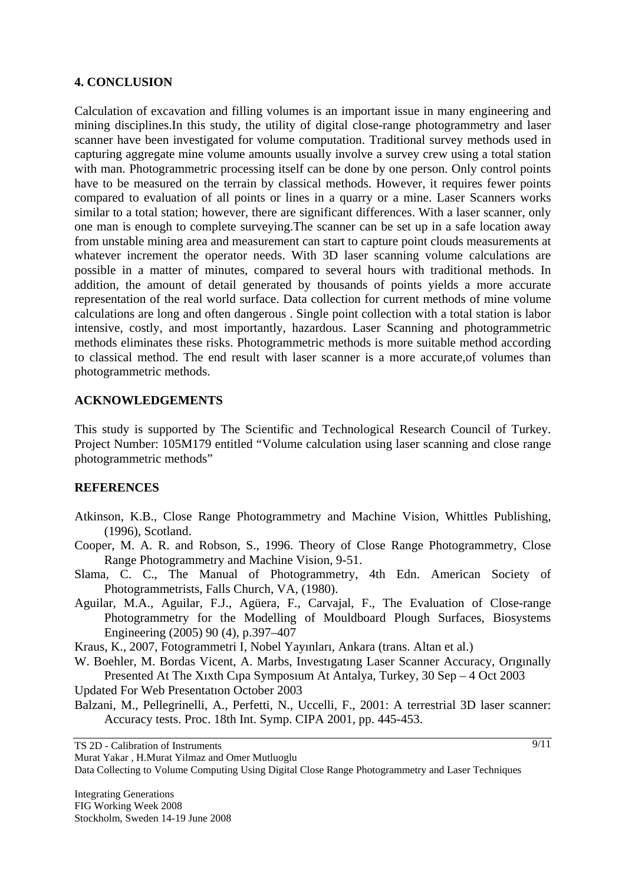#### **4. CONCLUSION**

Calculation of excavation and filling volumes is an important issue in many engineering and mining disciplines.In this study, the utility of digital close-range photogrammetry and laser scanner have been investigated for volume computation. Traditional survey methods used in capturing aggregate mine volume amounts usually involve a survey crew using a total station with man. Photogrammetric processing itself can be done by one person. Only control points have to be measured on the terrain by classical methods. However, it requires fewer points compared to evaluation of all points or lines in a quarry or a mine. Laser Scanners works similar to a total station; however, there are significant differences. With a laser scanner, only one man is enough to complete surveying.The scanner can be set up in a safe location away from unstable mining area and measurement can start to capture point clouds measurements at whatever increment the operator needs. With 3D laser scanning volume calculations are possible in a matter of minutes, compared to several hours with traditional methods. In addition, the amount of detail generated by thousands of points yields a more accurate representation of the real world surface. Data collection for current methods of mine volume calculations are long and often dangerous . Single point collection with a total station is labor intensive, costly, and most importantly, hazardous. Laser Scanning and photogrammetric methods eliminates these risks. Photogrammetric methods is more suitable method according to classical method. The end result with laser scanner is a more accurate,of volumes than photogrammetric methods.

#### **ACKNOWLEDGEMENTS**

This study is supported by The Scientific and Technological Research Council of Turkey. Project Number: 105M179 entitled "Volume calculation using laser scanning and close range photogrammetric methods"

#### **REFERENCES**

- Atkinson, K.B., Close Range Photogrammetry and Machine Vision, Whittles Publishing, (1996), Scotland.
- Cooper, M. A. R. and Robson, S., 1996. Theory of Close Range Photogrammetry, Close Range Photogrammetry and Machine Vision, 9-51.
- Slama, C. C., The Manual of Photogrammetry, 4th Edn. American Society of Photogrammetrists, Falls Church, VA, (1980).
- Aguilar, M.A., Aguilar, F.J., Agüera, F., Carvajal, F., The Evaluation of Close-range Photogrammetry for the Modelling of Mouldboard Plough Surfaces, Biosystems Engineering (2005) 90 (4), p.397–407
- Kraus, K., 2007, Fotogrammetri I, Nobel Yayınları, Ankara (trans. Altan et al.)
- W. Boehler, M. Bordas Vicent, A. Marbs, Investıgatıng Laser Scanner Accuracy, Orıgınally Presented At The Xıxth Cıpa Symposıum At Antalya, Turkey, 30 Sep – 4 Oct 2003
- Updated For Web Presentatıon October 2003
- Balzani, M., Pellegrinelli, A., Perfetti, N., Uccelli, F., 2001: A terrestrial 3D laser scanner: Accuracy tests. Proc. 18th Int. Symp. CIPA 2001, pp. 445-453.

Murat Yakar , H.Murat Yilmaz and Omer Mutluoglu

Data Collecting to Volume Computing Using Digital Close Range Photogrammetry and Laser Techniques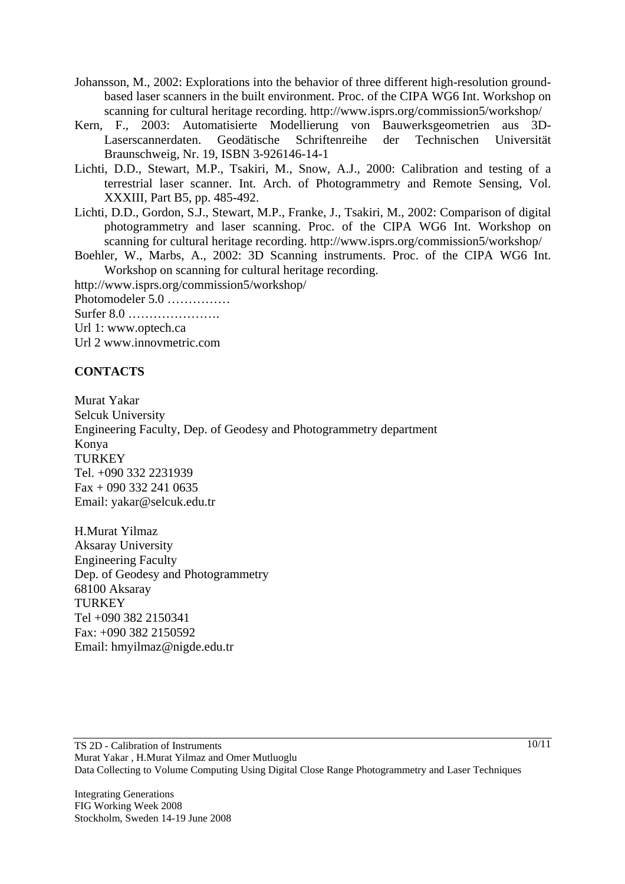- Johansson, M., 2002: Explorations into the behavior of three different high-resolution groundbased laser scanners in the built environment. Proc. of the CIPA WG6 Int. Workshop on scanning for cultural heritage recording. http://www.isprs.org/commission5/workshop/
- Kern, F., 2003: Automatisierte Modellierung von Bauwerksgeometrien aus 3D-Laserscannerdaten. Geodätische Schriftenreihe der Technischen Universität Braunschweig, Nr. 19, ISBN 3-926146-14-1
- Lichti, D.D., Stewart, M.P., Tsakiri, M., Snow, A.J., 2000: Calibration and testing of a terrestrial laser scanner. Int. Arch. of Photogrammetry and Remote Sensing, Vol. XXXIII, Part B5, pp. 485-492.
- Lichti, D.D., Gordon, S.J., Stewart, M.P., Franke, J., Tsakiri, M., 2002: Comparison of digital photogrammetry and laser scanning. Proc. of the CIPA WG6 Int. Workshop on scanning for cultural heritage recording. http://www.isprs.org/commission5/workshop/
- Boehler, W., Marbs, A., 2002: 3D Scanning instruments. Proc. of the CIPA WG6 Int. Workshop on scanning for cultural heritage recording.
- http://www.isprs.org/commission5/workshop/ Photomodeler 5.0 …………… Surfer 8.0 ………………….
- Url 1: www.optech.ca
- Url 2 www.innovmetric.com

#### **CONTACTS**

Murat Yakar Selcuk University Engineering Faculty, Dep. of Geodesy and Photogrammetry department Konya **TURKEY** Tel. +090 332 2231939 Fax + 090 332 241 0635 Email: yakar@selcuk.edu.tr

H.Murat Yilmaz Aksaray University Engineering Faculty Dep. of Geodesy and Photogrammetry 68100 Aksaray **TURKEY** Tel +090 382 2150341 Fax: +090 382 2150592 Email: hmyilmaz@nigde.edu.tr